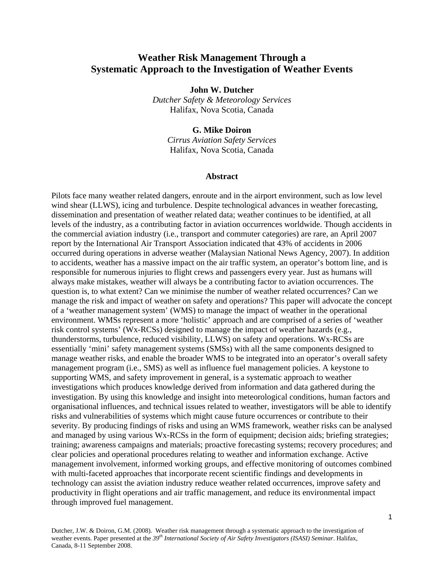# **Weather Risk Management Through a Systematic Approach to the Investigation of Weather Events**

**John W. Dutcher** 

*Dutcher Safety & Meteorology Services*  Halifax, Nova Scotia, Canada

#### **G. Mike Doiron**

*Cirrus Aviation Safety Services*  Halifax, Nova Scotia, Canada

#### **Abstract**

Pilots face many weather related dangers, enroute and in the airport environment, such as low level wind shear (LLWS), icing and turbulence. Despite technological advances in weather forecasting, dissemination and presentation of weather related data; weather continues to be identified, at all levels of the industry, as a contributing factor in aviation occurrences worldwide. Though accidents in the commercial aviation industry (i.e., transport and commuter categories) are rare, an April 2007 report by the International Air Transport Association indicated that 43% of accidents in 2006 occurred during operations in adverse weather (Malaysian National News Agency, 2007). In addition to accidents, weather has a massive impact on the air traffic system, an operator's bottom line, and is responsible for numerous injuries to flight crews and passengers every year. Just as humans will always make mistakes, weather will always be a contributing factor to aviation occurrences. The question is, to what extent? Can we minimise the number of weather related occurrences? Can we manage the risk and impact of weather on safety and operations? This paper will advocate the concept of a 'weather management system' (WMS) to manage the impact of weather in the operational environment. WMSs represent a more 'holistic' approach and are comprised of a series of 'weather risk control systems' (Wx-RCSs) designed to manage the impact of weather hazards (e.g., thunderstorms, turbulence, reduced visibility, LLWS) on safety and operations. Wx-RCSs are essentially 'mini' safety management systems (SMSs) with all the same components designed to manage weather risks, and enable the broader WMS to be integrated into an operator's overall safety management program (i.e., SMS) as well as influence fuel management policies. A keystone to supporting WMS, and safety improvement in general, is a systematic approach to weather investigations which produces knowledge derived from information and data gathered during the investigation. By using this knowledge and insight into meteorological conditions, human factors and organisational influences, and technical issues related to weather, investigators will be able to identify risks and vulnerabilities of systems which might cause future occurrences or contribute to their severity. By producing findings of risks and using an WMS framework, weather risks can be analysed and managed by using various Wx-RCSs in the form of equipment; decision aids; briefing strategies; training; awareness campaigns and materials; proactive forecasting systems; recovery procedures; and clear policies and operational procedures relating to weather and information exchange. Active management involvement, informed working groups, and effective monitoring of outcomes combined with multi-faceted approaches that incorporate recent scientific findings and developments in technology can assist the aviation industry reduce weather related occurrences, improve safety and productivity in flight operations and air traffic management, and reduce its environmental impact through improved fuel management.

Dutcher, J.W. & Doiron, G.M. (2008). Weather risk management through a systematic approach to the investigation of weather events. Paper presented at the *39th International Society of Air Safety Investigators (ISASI) Seminar*. Halifax, Canada, 8-11 September 2008.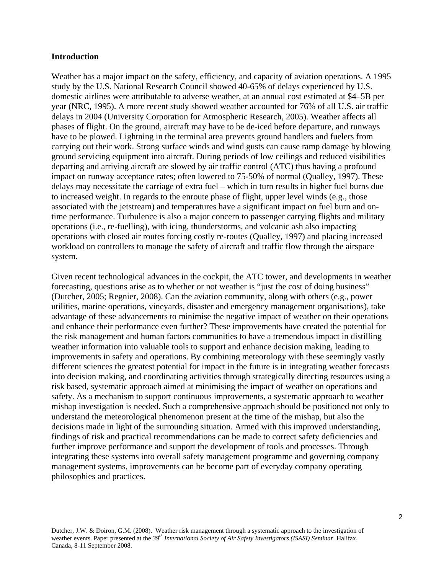#### **Introduction**

Weather has a major impact on the safety, efficiency, and capacity of aviation operations. A 1995 study by the U.S. National Research Council showed 40-65% of delays experienced by U.S. domestic airlines were attributable to adverse weather, at an annual cost estimated at \$4–5B per year (NRC, 1995). A more recent study showed weather accounted for 76% of all U.S. air traffic delays in 2004 (University Corporation for Atmospheric Research, 2005). Weather affects all phases of flight. On the ground, aircraft may have to be de-iced before departure, and runways have to be plowed. Lightning in the terminal area prevents ground handlers and fuelers from carrying out their work. Strong surface winds and wind gusts can cause ramp damage by blowing ground servicing equipment into aircraft. During periods of low ceilings and reduced visibilities departing and arriving aircraft are slowed by air traffic control (ATC) thus having a profound impact on runway acceptance rates; often lowered to 75-50% of normal (Qualley, 1997). These delays may necessitate the carriage of extra fuel – which in turn results in higher fuel burns due to increased weight. In regards to the enroute phase of flight, upper level winds (e.g., those associated with the jetstream) and temperatures have a significant impact on fuel burn and ontime performance. Turbulence is also a major concern to passenger carrying flights and military operations (i.e., re-fuelling), with icing, thunderstorms, and volcanic ash also impacting operations with closed air routes forcing costly re-routes (Qualley, 1997) and placing increased workload on controllers to manage the safety of aircraft and traffic flow through the airspace system.

Given recent technological advances in the cockpit, the ATC tower, and developments in weather forecasting, questions arise as to whether or not weather is "just the cost of doing business" (Dutcher, 2005; Regnier, 2008). Can the aviation community, along with others (e.g., power utilities, marine operations, vineyards, disaster and emergency management organisations), take advantage of these advancements to minimise the negative impact of weather on their operations and enhance their performance even further? These improvements have created the potential for the risk management and human factors communities to have a tremendous impact in distilling weather information into valuable tools to support and enhance decision making, leading to improvements in safety and operations. By combining meteorology with these seemingly vastly different sciences the greatest potential for impact in the future is in integrating weather forecasts into decision making, and coordinating activities through strategically directing resources using a risk based, systematic approach aimed at minimising the impact of weather on operations and safety. As a mechanism to support continuous improvements, a systematic approach to weather mishap investigation is needed. Such a comprehensive approach should be positioned not only to understand the meteorological phenomenon present at the time of the mishap, but also the decisions made in light of the surrounding situation. Armed with this improved understanding, findings of risk and practical recommendations can be made to correct safety deficiencies and further improve performance and support the development of tools and processes. Through integrating these systems into overall safety management programme and governing company management systems, improvements can be become part of everyday company operating philosophies and practices.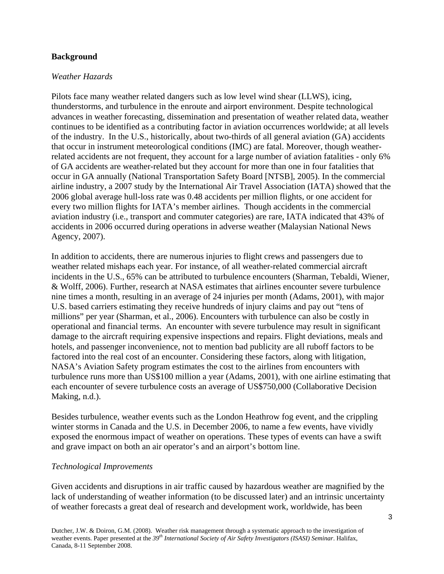### **Background**

### *Weather Hazards*

Pilots face many weather related dangers such as low level wind shear (LLWS), icing, thunderstorms, and turbulence in the enroute and airport environment. Despite technological advances in weather forecasting, dissemination and presentation of weather related data, weather continues to be identified as a contributing factor in aviation occurrences worldwide; at all levels of the industry. In the U.S., historically, about two-thirds of all general aviation (GA) accidents that occur in instrument meteorological conditions (IMC) are fatal. Moreover, though weatherrelated accidents are not frequent, they account for a large number of aviation fatalities - only 6% of GA accidents are weather-related but they account for more than one in four fatalities that occur in GA annually (National Transportation Safety Board [NTSB], 2005). In the commercial airline industry, a 2007 study by the International Air Travel Association (IATA) showed that the 2006 global average hull-loss rate was 0.48 accidents per million flights, or one accident for every two million flights for IATA's member airlines. Though accidents in the commercial aviation industry (i.e., transport and commuter categories) are rare, IATA indicated that 43% of accidents in 2006 occurred during operations in adverse weather (Malaysian National News Agency, 2007).

In addition to accidents, there are numerous injuries to flight crews and passengers due to weather related mishaps each year. For instance, of all weather-related commercial aircraft incidents in the U.S., 65% can be attributed to turbulence encounters (Sharman, Tebaldi, Wiener, & Wolff, 2006). Further, research at NASA estimates that airlines encounter severe turbulence nine times a month, resulting in an average of 24 injuries per month (Adams, 2001), with major U.S. based carriers estimating they receive hundreds of injury claims and pay out "tens of millions" per year (Sharman, et al., 2006). Encounters with turbulence can also be costly in operational and financial terms. An encounter with severe turbulence may result in significant damage to the aircraft requiring expensive inspections and repairs. Flight deviations, meals and hotels, and passenger inconvenience, not to mention bad publicity are all ruboff factors to be factored into the real cost of an encounter. Considering these factors, along with litigation, NASA's Aviation Safety program estimates the cost to the airlines from encounters with turbulence runs more than US\$100 million a year (Adams, 2001), with one airline estimating that each encounter of severe turbulence costs an average of US\$750,000 (Collaborative Decision Making, n.d.).

Besides turbulence, weather events such as the London Heathrow fog event, and the crippling winter storms in Canada and the U.S. in December 2006, to name a few events, have vividly exposed the enormous impact of weather on operations. These types of events can have a swift and grave impact on both an air operator's and an airport's bottom line.

### *Technological Improvements*

Given accidents and disruptions in air traffic caused by hazardous weather are magnified by the lack of understanding of weather information (to be discussed later) and an intrinsic uncertainty of weather forecasts a great deal of research and development work, worldwide, has been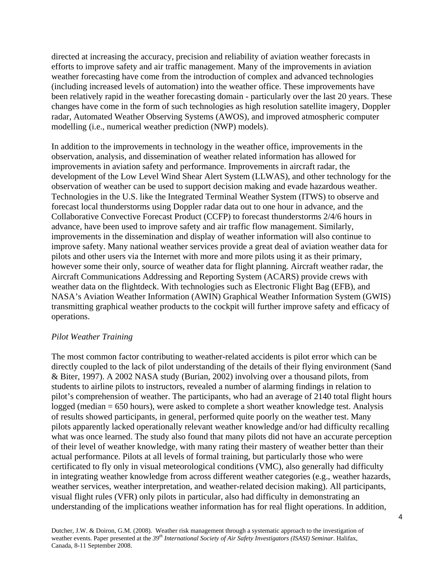directed at increasing the accuracy, precision and reliability of aviation weather forecasts in efforts to improve safety and air traffic management. Many of the improvements in aviation weather forecasting have come from the introduction of complex and advanced technologies (including increased levels of automation) into the weather office. These improvements have been relatively rapid in the weather forecasting domain - particularly over the last 20 years. These changes have come in the form of such technologies as high resolution satellite imagery, Doppler radar, Automated Weather Observing Systems (AWOS), and improved atmospheric computer modelling (i.e., numerical weather prediction (NWP) models).

In addition to the improvements in technology in the weather office, improvements in the observation, analysis, and dissemination of weather related information has allowed for improvements in aviation safety and performance. Improvements in aircraft radar, the development of the Low Level Wind Shear Alert System (LLWAS), and other technology for the observation of weather can be used to support decision making and evade hazardous weather. Technologies in the U.S. like the Integrated Terminal Weather System (ITWS) to observe and forecast local thunderstorms using Doppler radar data out to one hour in advance, and the Collaborative Convective Forecast Product (CCFP) to forecast thunderstorms 2/4/6 hours in advance, have been used to improve safety and air traffic flow management. Similarly, improvements in the dissemination and display of weather information will also continue to improve safety. Many national weather services provide a great deal of aviation weather data for pilots and other users via the Internet with more and more pilots using it as their primary, however some their only, source of weather data for flight planning. Aircraft weather radar, the Aircraft Communications Addressing and Reporting System (ACARS) provide crews with weather data on the flightdeck. With technologies such as Electronic Flight Bag (EFB), and NASA's Aviation Weather Information (AWIN) Graphical Weather Information System (GWIS) transmitting graphical weather products to the cockpit will further improve safety and efficacy of operations.

## *Pilot Weather Training*

The most common factor contributing to weather-related accidents is pilot error which can be directly coupled to the lack of pilot understanding of the details of their flying environment (Sand & Biter, 1997). A 2002 NASA study (Burian, 2002) involving over a thousand pilots, from students to airline pilots to instructors, revealed a number of alarming findings in relation to pilot's comprehension of weather. The participants, who had an average of 2140 total flight hours logged (median = 650 hours), were asked to complete a short weather knowledge test. Analysis of results showed participants, in general, performed quite poorly on the weather test. Many pilots apparently lacked operationally relevant weather knowledge and/or had difficulty recalling what was once learned. The study also found that many pilots did not have an accurate perception of their level of weather knowledge, with many rating their mastery of weather better than their actual performance. Pilots at all levels of formal training, but particularly those who were certificated to fly only in visual meteorological conditions (VMC), also generally had difficulty in integrating weather knowledge from across different weather categories (e.g., weather hazards, weather services, weather interpretation, and weather-related decision making). All participants, visual flight rules (VFR) only pilots in particular, also had difficulty in demonstrating an understanding of the implications weather information has for real flight operations. In addition,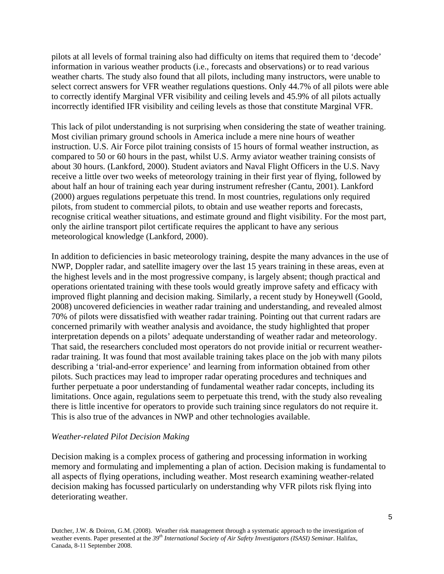pilots at all levels of formal training also had difficulty on items that required them to 'decode' information in various weather products (i.e., forecasts and observations) or to read various weather charts. The study also found that all pilots, including many instructors, were unable to select correct answers for VFR weather regulations questions. Only 44.7% of all pilots were able to correctly identify Marginal VFR visibility and ceiling levels and 45.9% of all pilots actually incorrectly identified IFR visibility and ceiling levels as those that constitute Marginal VFR.

This lack of pilot understanding is not surprising when considering the state of weather training. Most civilian primary ground schools in America include a mere nine hours of weather instruction. U.S. Air Force pilot training consists of 15 hours of formal weather instruction, as compared to 50 or 60 hours in the past, whilst U.S. Army aviator weather training consists of about 30 hours. (Lankford, 2000). Student aviators and Naval Flight Officers in the U.S. Navy receive a little over two weeks of meteorology training in their first year of flying, followed by about half an hour of training each year during instrument refresher (Cantu, 2001). Lankford (2000) argues regulations perpetuate this trend. In most countries, regulations only required pilots, from student to commercial pilots, to obtain and use weather reports and forecasts, recognise critical weather situations, and estimate ground and flight visibility. For the most part, only the airline transport pilot certificate requires the applicant to have any serious meteorological knowledge (Lankford, 2000).

In addition to deficiencies in basic meteorology training, despite the many advances in the use of NWP, Doppler radar, and satellite imagery over the last 15 years training in these areas, even at the highest levels and in the most progressive company, is largely absent; though practical and operations orientated training with these tools would greatly improve safety and efficacy with improved flight planning and decision making. Similarly, a recent study by Honeywell (Goold, 2008) uncovered deficiencies in weather radar training and understanding, and revealed almost 70% of pilots were dissatisfied with weather radar training. Pointing out that current radars are concerned primarily with weather analysis and avoidance, the study highlighted that proper interpretation depends on a pilots' adequate understanding of weather radar and meteorology. That said, the researchers concluded most operators do not provide initial or recurrent weatherradar training. It was found that most available training takes place on the job with many pilots describing a 'trial-and-error experience' and learning from information obtained from other pilots. Such practices may lead to improper radar operating procedures and techniques and further perpetuate a poor understanding of fundamental weather radar concepts, including its limitations. Once again, regulations seem to perpetuate this trend, with the study also revealing there is little incentive for operators to provide such training since regulators do not require it. This is also true of the advances in NWP and other technologies available.

### *Weather-related Pilot Decision Making*

Decision making is a complex process of gathering and processing information in working memory and formulating and implementing a plan of action. Decision making is fundamental to all aspects of flying operations, including weather. Most research examining weather-related decision making has focussed particularly on understanding why VFR pilots risk flying into deteriorating weather.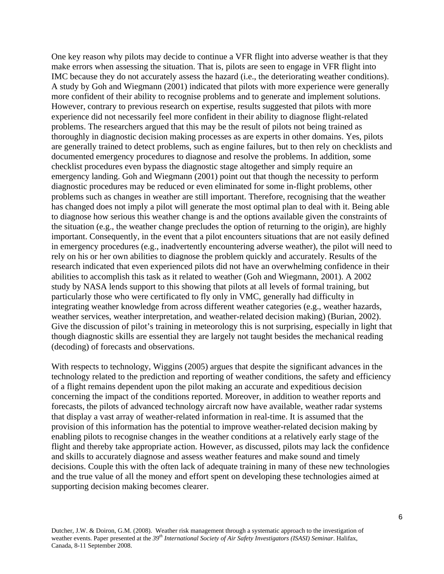One key reason why pilots may decide to continue a VFR flight into adverse weather is that they make errors when assessing the situation. That is, pilots are seen to engage in VFR flight into IMC because they do not accurately assess the hazard (i.e., the deteriorating weather conditions). A study by Goh and Wiegmann (2001) indicated that pilots with more experience were generally more confident of their ability to recognise problems and to generate and implement solutions. However, contrary to previous research on expertise, results suggested that pilots with more experience did not necessarily feel more confident in their ability to diagnose flight-related problems. The researchers argued that this may be the result of pilots not being trained as thoroughly in diagnostic decision making processes as are experts in other domains. Yes, pilots are generally trained to detect problems, such as engine failures, but to then rely on checklists and documented emergency procedures to diagnose and resolve the problems. In addition, some checklist procedures even bypass the diagnostic stage altogether and simply require an emergency landing. Goh and Wiegmann (2001) point out that though the necessity to perform diagnostic procedures may be reduced or even eliminated for some in-flight problems, other problems such as changes in weather are still important. Therefore, recognising that the weather has changed does not imply a pilot will generate the most optimal plan to deal with it. Being able to diagnose how serious this weather change is and the options available given the constraints of the situation (e.g., the weather change precludes the option of returning to the origin), are highly important. Consequently, in the event that a pilot encounters situations that are not easily defined in emergency procedures (e.g., inadvertently encountering adverse weather), the pilot will need to rely on his or her own abilities to diagnose the problem quickly and accurately. Results of the research indicated that even experienced pilots did not have an overwhelming confidence in their abilities to accomplish this task as it related to weather (Goh and Wiegmann, 2001). A 2002 study by NASA lends support to this showing that pilots at all levels of formal training, but particularly those who were certificated to fly only in VMC, generally had difficulty in integrating weather knowledge from across different weather categories (e.g., weather hazards, weather services, weather interpretation, and weather-related decision making) (Burian, 2002). Give the discussion of pilot's training in meteorology this is not surprising, especially in light that though diagnostic skills are essential they are largely not taught besides the mechanical reading (decoding) of forecasts and observations.

With respects to technology, Wiggins (2005) argues that despite the significant advances in the technology related to the prediction and reporting of weather conditions, the safety and efficiency of a flight remains dependent upon the pilot making an accurate and expeditious decision concerning the impact of the conditions reported. Moreover, in addition to weather reports and forecasts, the pilots of advanced technology aircraft now have available, weather radar systems that display a vast array of weather-related information in real-time. It is assumed that the provision of this information has the potential to improve weather-related decision making by enabling pilots to recognise changes in the weather conditions at a relatively early stage of the flight and thereby take appropriate action. However, as discussed, pilots may lack the confidence and skills to accurately diagnose and assess weather features and make sound and timely decisions. Couple this with the often lack of adequate training in many of these new technologies and the true value of all the money and effort spent on developing these technologies aimed at supporting decision making becomes clearer.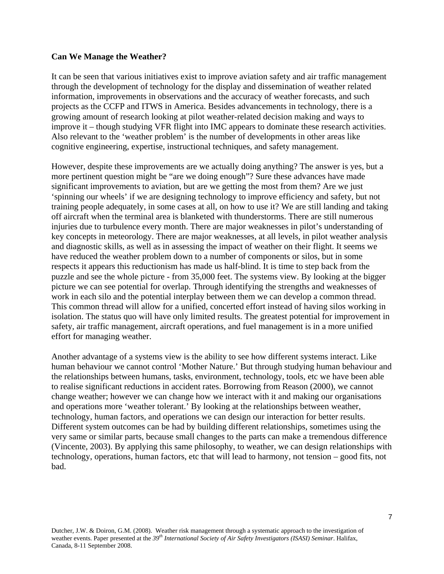#### **Can We Manage the Weather?**

It can be seen that various initiatives exist to improve aviation safety and air traffic management through the development of technology for the display and dissemination of weather related information, improvements in observations and the accuracy of weather forecasts, and such projects as the CCFP and ITWS in America. Besides advancements in technology, there is a growing amount of research looking at pilot weather-related decision making and ways to improve it – though studying VFR flight into IMC appears to dominate these research activities. Also relevant to the 'weather problem' is the number of developments in other areas like cognitive engineering, expertise, instructional techniques, and safety management.

However, despite these improvements are we actually doing anything? The answer is yes, but a more pertinent question might be "are we doing enough"? Sure these advances have made significant improvements to aviation, but are we getting the most from them? Are we just 'spinning our wheels' if we are designing technology to improve efficiency and safety, but not training people adequately, in some cases at all, on how to use it? We are still landing and taking off aircraft when the terminal area is blanketed with thunderstorms. There are still numerous injuries due to turbulence every month. There are major weaknesses in pilot's understanding of key concepts in meteorology. There are major weaknesses, at all levels, in pilot weather analysis and diagnostic skills, as well as in assessing the impact of weather on their flight. It seems we have reduced the weather problem down to a number of components or silos, but in some respects it appears this reductionism has made us half-blind. It is time to step back from the puzzle and see the whole picture - from 35,000 feet. The systems view. By looking at the bigger picture we can see potential for overlap. Through identifying the strengths and weaknesses of work in each silo and the potential interplay between them we can develop a common thread. This common thread will allow for a unified, concerted effort instead of having silos working in isolation. The status quo will have only limited results. The greatest potential for improvement in safety, air traffic management, aircraft operations, and fuel management is in a more unified effort for managing weather.

Another advantage of a systems view is the ability to see how different systems interact. Like human behaviour we cannot control 'Mother Nature.' But through studying human behaviour and the relationships between humans, tasks, environment, technology, tools, etc we have been able to realise significant reductions in accident rates. Borrowing from Reason (2000), we cannot change weather; however we can change how we interact with it and making our organisations and operations more 'weather tolerant.' By looking at the relationships between weather, technology, human factors, and operations we can design our interaction for better results. Different system outcomes can be had by building different relationships, sometimes using the very same or similar parts, because small changes to the parts can make a tremendous difference (Vincente, 2003). By applying this same philosophy, to weather, we can design relationships with technology, operations, human factors, etc that will lead to harmony, not tension – good fits, not bad.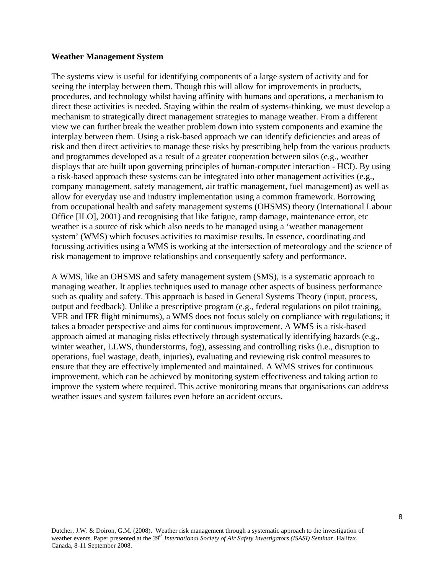#### **Weather Management System**

The systems view is useful for identifying components of a large system of activity and for seeing the interplay between them. Though this will allow for improvements in products, procedures, and technology whilst having affinity with humans and operations, a mechanism to direct these activities is needed. Staying within the realm of systems-thinking, we must develop a mechanism to strategically direct management strategies to manage weather. From a different view we can further break the weather problem down into system components and examine the interplay between them. Using a risk-based approach we can identify deficiencies and areas of risk and then direct activities to manage these risks by prescribing help from the various products and programmes developed as a result of a greater cooperation between silos (e.g., weather displays that are built upon governing principles of human-computer interaction - HCI). By using a risk-based approach these systems can be integrated into other management activities (e.g., company management, safety management, air traffic management, fuel management) as well as allow for everyday use and industry implementation using a common framework. Borrowing from occupational health and safety management systems (OHSMS) theory (International Labour Office [ILO], 2001) and recognising that like fatigue, ramp damage, maintenance error, etc weather is a source of risk which also needs to be managed using a 'weather management system' (WMS) which focuses activities to maximise results. In essence, coordinating and focussing activities using a WMS is working at the intersection of meteorology and the science of risk management to improve relationships and consequently safety and performance.

A WMS, like an OHSMS and safety management system (SMS), is a systematic approach to managing weather. It applies techniques used to manage other aspects of business performance such as quality and safety. This approach is based in General Systems Theory (input, process, output and feedback). Unlike a prescriptive program (e.g., federal regulations on pilot training, VFR and IFR flight minimums), a WMS does not focus solely on compliance with regulations; it takes a broader perspective and aims for continuous improvement. A WMS is a risk-based approach aimed at managing risks effectively through systematically identifying hazards (e.g., winter weather, LLWS, thunderstorms, fog), assessing and controlling risks (i.e., disruption to operations, fuel wastage, death, injuries), evaluating and reviewing risk control measures to ensure that they are effectively implemented and maintained. A WMS strives for continuous improvement, which can be achieved by monitoring system effectiveness and taking action to improve the system where required. This active monitoring means that organisations can address weather issues and system failures even before an accident occurs.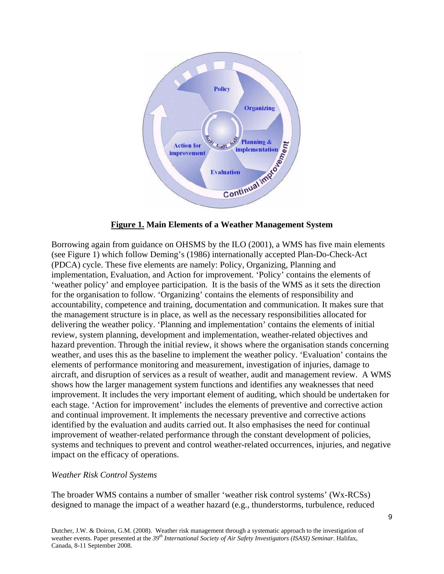

**Figure 1. Main Elements of a Weather Management System**

Borrowing again from guidance on OHSMS by the ILO (2001), a WMS has five main elements (see Figure 1) which follow Deming's (1986) internationally accepted Plan-Do-Check-Act (PDCA) cycle. These five elements are namely: Policy, Organizing, Planning and implementation, Evaluation, and Action for improvement. 'Policy' contains the elements of 'weather policy' and employee participation. It is the basis of the WMS as it sets the direction for the organisation to follow. 'Organizing' contains the elements of responsibility and accountability, competence and training, documentation and communication. It makes sure that the management structure is in place, as well as the necessary responsibilities allocated for delivering the weather policy. 'Planning and implementation' contains the elements of initial review, system planning, development and implementation, weather-related objectives and hazard prevention. Through the initial review, it shows where the organisation stands concerning weather, and uses this as the baseline to implement the weather policy. 'Evaluation' contains the elements of performance monitoring and measurement, investigation of injuries, damage to aircraft, and disruption of services as a result of weather, audit and management review. A WMS shows how the larger management system functions and identifies any weaknesses that need improvement. It includes the very important element of auditing, which should be undertaken for each stage. 'Action for improvement' includes the elements of preventive and corrective action and continual improvement. It implements the necessary preventive and corrective actions identified by the evaluation and audits carried out. It also emphasises the need for continual improvement of weather-related performance through the constant development of policies, systems and techniques to prevent and control weather-related occurrences, injuries, and negative impact on the efficacy of operations.

### *Weather Risk Control Systems*

The broader WMS contains a number of smaller 'weather risk control systems' (Wx-RCSs) designed to manage the impact of a weather hazard (e.g., thunderstorms, turbulence, reduced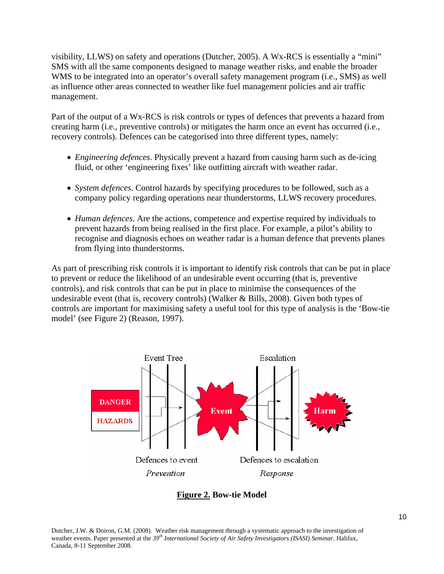visibility, LLWS) on safety and operations (Dutcher, 2005). A Wx-RCS is essentially a "mini" SMS with all the same components designed to manage weather risks, and enable the broader WMS to be integrated into an operator's overall safety management program (i.e., SMS) as well as influence other areas connected to weather like fuel management policies and air traffic management.

Part of the output of a Wx-RCS is risk controls or types of defences that prevents a hazard from creating harm (i.e., preventive controls) or mitigates the harm once an event has occurred (i.e., recovery controls). Defences can be categorised into three different types, namely:

- *Engineering defences*. Physically prevent a hazard from causing harm such as de-icing fluid, or other 'engineering fixes' like outfitting aircraft with weather radar.
- *System defences*. Control hazards by specifying procedures to be followed, such as a company policy regarding operations near thunderstorms, LLWS recovery procedures.
- *Human defences*. Are the actions, competence and expertise required by individuals to prevent hazards from being realised in the first place. For example, a pilot's ability to recognise and diagnosis echoes on weather radar is a human defence that prevents planes from flying into thunderstorms.

As part of prescribing risk controls it is important to identify risk controls that can be put in place to prevent or reduce the likelihood of an undesirable event occurring (that is, preventive controls), and risk controls that can be put in place to minimise the consequences of the undesirable event (that is, recovery controls) (Walker & Bills, 2008). Given both types of controls are important for maximising safety a useful tool for this type of analysis is the 'Bow-tie model' (see Figure 2) (Reason, 1997).



**Figure 2. Bow-tie Model**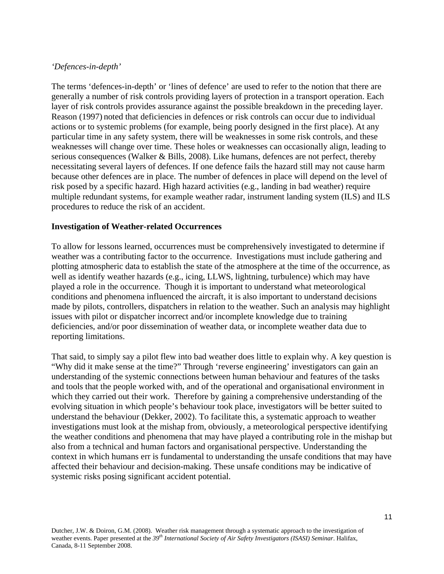### *'Defences-in-depth'*

The terms 'defences-in-depth' or 'lines of defence' are used to refer to the notion that there are generally a number of risk controls providing layers of protection in a transport operation. Each layer of risk controls provides assurance against the possible breakdown in the preceding layer. Reason (1997) noted that deficiencies in defences or risk controls can occur due to individual actions or to systemic problems (for example, being poorly designed in the first place). At any particular time in any safety system, there will be weaknesses in some risk controls, and these weaknesses will change over time. These holes or weaknesses can occasionally align, leading to serious consequences (Walker & Bills, 2008). Like humans, defences are not perfect, thereby necessitating several layers of defences. If one defence fails the hazard still may not cause harm because other defences are in place. The number of defences in place will depend on the level of risk posed by a specific hazard. High hazard activities (e.g., landing in bad weather) require multiple redundant systems, for example weather radar, instrument landing system (ILS) and ILS procedures to reduce the risk of an accident.

### **Investigation of Weather-related Occurrences**

To allow for lessons learned, occurrences must be comprehensively investigated to determine if weather was a contributing factor to the occurrence. Investigations must include gathering and plotting atmospheric data to establish the state of the atmosphere at the time of the occurrence, as well as identify weather hazards (e.g., icing, LLWS, lightning, turbulence) which may have played a role in the occurrence. Though it is important to understand what meteorological conditions and phenomena influenced the aircraft, it is also important to understand decisions made by pilots, controllers, dispatchers in relation to the weather. Such an analysis may highlight issues with pilot or dispatcher incorrect and/or incomplete knowledge due to training deficiencies, and/or poor dissemination of weather data, or incomplete weather data due to reporting limitations.

That said, to simply say a pilot flew into bad weather does little to explain why. A key question is "Why did it make sense at the time?" Through 'reverse engineering' investigators can gain an understanding of the systemic connections between human behaviour and features of the tasks and tools that the people worked with, and of the operational and organisational environment in which they carried out their work. Therefore by gaining a comprehensive understanding of the evolving situation in which people's behaviour took place, investigators will be better suited to understand the behaviour (Dekker, 2002). To facilitate this, a systematic approach to weather investigations must look at the mishap from, obviously, a meteorological perspective identifying the weather conditions and phenomena that may have played a contributing role in the mishap but also from a technical and human factors and organisational perspective. Understanding the context in which humans err is fundamental to understanding the unsafe conditions that may have affected their behaviour and decision-making. These unsafe conditions may be indicative of systemic risks posing significant accident potential.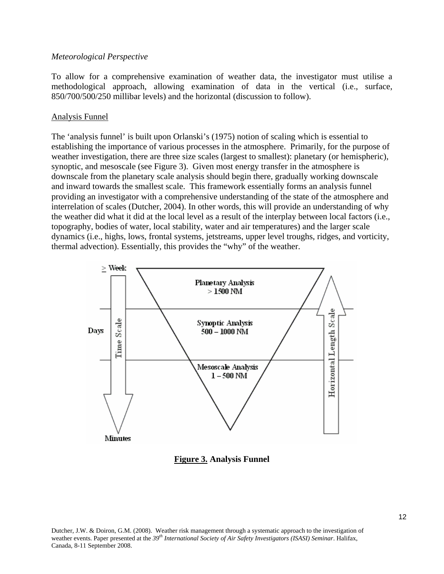#### *Meteorological Perspective*

To allow for a comprehensive examination of weather data, the investigator must utilise a methodological approach, allowing examination of data in the vertical (i.e., surface, 850/700/500/250 millibar levels) and the horizontal (discussion to follow).

#### Analysis Funnel

The 'analysis funnel' is built upon Orlanski's (1975) notion of scaling which is essential to establishing the importance of various processes in the atmosphere. Primarily, for the purpose of weather investigation, there are three size scales (largest to smallest): planetary (or hemispheric), synoptic, and mesoscale (see Figure 3). Given most energy transfer in the atmosphere is downscale from the planetary scale analysis should begin there, gradually working downscale and inward towards the smallest scale. This framework essentially forms an analysis funnel providing an investigator with a comprehensive understanding of the state of the atmosphere and interrelation of scales (Dutcher, 2004). In other words, this will provide an understanding of why the weather did what it did at the local level as a result of the interplay between local factors (i.e., topography, bodies of water, local stability, water and air temperatures) and the larger scale dynamics (i.e., highs, lows, frontal systems, jetstreams, upper level troughs, ridges, and vorticity, thermal advection). Essentially, this provides the "why" of the weather.



**Figure 3. Analysis Funnel**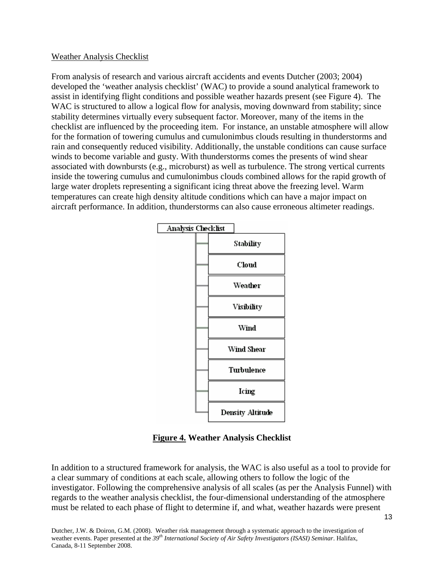### Weather Analysis Checklist

From analysis of research and various aircraft accidents and events Dutcher (2003; 2004) developed the 'weather analysis checklist' (WAC) to provide a sound analytical framework to assist in identifying flight conditions and possible weather hazards present (see Figure 4). The WAC is structured to allow a logical flow for analysis, moving downward from stability; since stability determines virtually every subsequent factor. Moreover, many of the items in the checklist are influenced by the proceeding item. For instance, an unstable atmosphere will allow for the formation of towering cumulus and cumulonimbus clouds resulting in thunderstorms and rain and consequently reduced visibility. Additionally, the unstable conditions can cause surface winds to become variable and gusty. With thunderstorms comes the presents of wind shear associated with downbursts (e.g., microburst) as well as turbulence. The strong vertical currents inside the towering cumulus and cumulonimbus clouds combined allows for the rapid growth of large water droplets representing a significant icing threat above the freezing level. Warm temperatures can create high density altitude conditions which can have a major impact on aircraft performance. In addition, thunderstorms can also cause erroneous altimeter readings.



**Figure 4. Weather Analysis Checklist** 

In addition to a structured framework for analysis, the WAC is also useful as a tool to provide for a clear summary of conditions at each scale, allowing others to follow the logic of the investigator. Following the comprehensive analysis of all scales (as per the Analysis Funnel) with regards to the weather analysis checklist, the four-dimensional understanding of the atmosphere must be related to each phase of flight to determine if, and what, weather hazards were present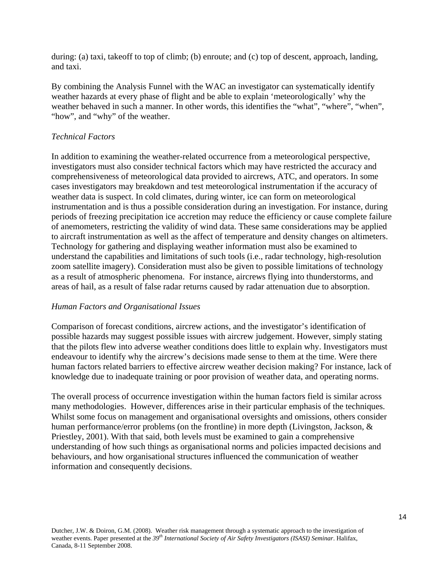during: (a) taxi, takeoff to top of climb; (b) enroute; and (c) top of descent, approach, landing, and taxi.

By combining the Analysis Funnel with the WAC an investigator can systematically identify weather hazards at every phase of flight and be able to explain 'meteorologically' why the weather behaved in such a manner. In other words, this identifies the "what", "where", "when", "how", and "why" of the weather.

## *Technical Factors*

In addition to examining the weather-related occurrence from a meteorological perspective, investigators must also consider technical factors which may have restricted the accuracy and comprehensiveness of meteorological data provided to aircrews, ATC, and operators. In some cases investigators may breakdown and test meteorological instrumentation if the accuracy of weather data is suspect. In cold climates, during winter, ice can form on meteorological instrumentation and is thus a possible consideration during an investigation. For instance, during periods of freezing precipitation ice accretion may reduce the efficiency or cause complete failure of anemometers, restricting the validity of wind data. These same considerations may be applied to aircraft instrumentation as well as the affect of temperature and density changes on altimeters. Technology for gathering and displaying weather information must also be examined to understand the capabilities and limitations of such tools (i.e., radar technology, high-resolution zoom satellite imagery). Consideration must also be given to possible limitations of technology as a result of atmospheric phenomena. For instance, aircrews flying into thunderstorms, and areas of hail, as a result of false radar returns caused by radar attenuation due to absorption.

## *Human Factors and Organisational Issues*

Comparison of forecast conditions, aircrew actions, and the investigator's identification of possible hazards may suggest possible issues with aircrew judgement. However, simply stating that the pilots flew into adverse weather conditions does little to explain why. Investigators must endeavour to identify why the aircrew's decisions made sense to them at the time. Were there human factors related barriers to effective aircrew weather decision making? For instance, lack of knowledge due to inadequate training or poor provision of weather data, and operating norms.

The overall process of occurrence investigation within the human factors field is similar across many methodologies. However, differences arise in their particular emphasis of the techniques. Whilst some focus on management and organisational oversights and omissions, others consider human performance/error problems (on the frontline) in more depth (Livingston, Jackson, & Priestley, 2001). With that said, both levels must be examined to gain a comprehensive understanding of how such things as organisational norms and policies impacted decisions and behaviours, and how organisational structures influenced the communication of weather information and consequently decisions.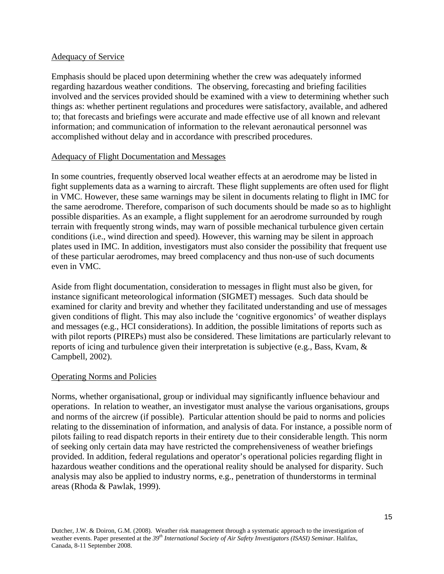### Adequacy of Service

Emphasis should be placed upon determining whether the crew was adequately informed regarding hazardous weather conditions. The observing, forecasting and briefing facilities involved and the services provided should be examined with a view to determining whether such things as: whether pertinent regulations and procedures were satisfactory, available, and adhered to; that forecasts and briefings were accurate and made effective use of all known and relevant information; and communication of information to the relevant aeronautical personnel was accomplished without delay and in accordance with prescribed procedures.

### Adequacy of Flight Documentation and Messages

In some countries, frequently observed local weather effects at an aerodrome may be listed in fight supplements data as a warning to aircraft. These flight supplements are often used for flight in VMC. However, these same warnings may be silent in documents relating to flight in IMC for the same aerodrome. Therefore, comparison of such documents should be made so as to highlight possible disparities. As an example, a flight supplement for an aerodrome surrounded by rough terrain with frequently strong winds, may warn of possible mechanical turbulence given certain conditions (i.e., wind direction and speed). However, this warning may be silent in approach plates used in IMC. In addition, investigators must also consider the possibility that frequent use of these particular aerodromes, may breed complacency and thus non-use of such documents even in VMC.

Aside from flight documentation, consideration to messages in flight must also be given, for instance significant meteorological information (SIGMET) messages. Such data should be examined for clarity and brevity and whether they facilitated understanding and use of messages given conditions of flight. This may also include the 'cognitive ergonomics' of weather displays and messages (e.g., HCI considerations). In addition, the possible limitations of reports such as with pilot reports (PIREPs) must also be considered. These limitations are particularly relevant to reports of icing and turbulence given their interpretation is subjective (e.g., Bass, Kvam, & Campbell, 2002).

## Operating Norms and Policies

Norms, whether organisational, group or individual may significantly influence behaviour and operations. In relation to weather, an investigator must analyse the various organisations, groups and norms of the aircrew (if possible). Particular attention should be paid to norms and policies relating to the dissemination of information, and analysis of data. For instance, a possible norm of pilots failing to read dispatch reports in their entirety due to their considerable length. This norm of seeking only certain data may have restricted the comprehensiveness of weather briefings provided. In addition, federal regulations and operator's operational policies regarding flight in hazardous weather conditions and the operational reality should be analysed for disparity. Such analysis may also be applied to industry norms, e.g., penetration of thunderstorms in terminal areas (Rhoda & Pawlak, 1999).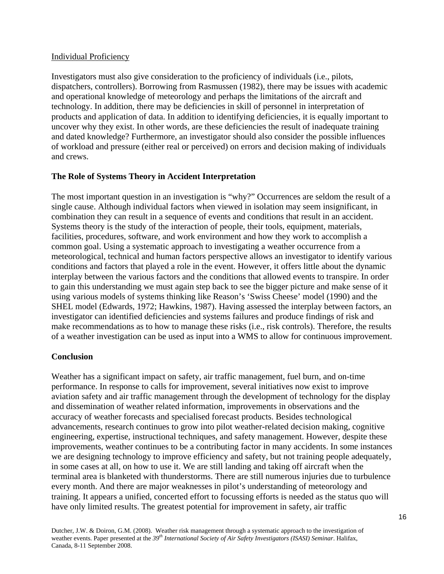### Individual Proficiency

Investigators must also give consideration to the proficiency of individuals (i.e., pilots, dispatchers, controllers). Borrowing from Rasmussen (1982), there may be issues with academic and operational knowledge of meteorology and perhaps the limitations of the aircraft and technology. In addition, there may be deficiencies in skill of personnel in interpretation of products and application of data. In addition to identifying deficiencies, it is equally important to uncover why they exist. In other words, are these deficiencies the result of inadequate training and dated knowledge? Furthermore, an investigator should also consider the possible influences of workload and pressure (either real or perceived) on errors and decision making of individuals and crews.

### **The Role of Systems Theory in Accident Interpretation**

The most important question in an investigation is "why?" Occurrences are seldom the result of a single cause. Although individual factors when viewed in isolation may seem insignificant, in combination they can result in a sequence of events and conditions that result in an accident. Systems theory is the study of the interaction of people, their tools, equipment, materials, facilities, procedures, software, and work environment and how they work to accomplish a common goal. Using a systematic approach to investigating a weather occurrence from a meteorological, technical and human factors perspective allows an investigator to identify various conditions and factors that played a role in the event. However, it offers little about the dynamic interplay between the various factors and the conditions that allowed events to transpire. In order to gain this understanding we must again step back to see the bigger picture and make sense of it using various models of systems thinking like Reason's 'Swiss Cheese' model (1990) and the SHEL model (Edwards, 1972; Hawkins, 1987). Having assessed the interplay between factors, an investigator can identified deficiencies and systems failures and produce findings of risk and make recommendations as to how to manage these risks (i.e., risk controls). Therefore, the results of a weather investigation can be used as input into a WMS to allow for continuous improvement.

## **Conclusion**

Weather has a significant impact on safety, air traffic management, fuel burn, and on-time performance. In response to calls for improvement, several initiatives now exist to improve aviation safety and air traffic management through the development of technology for the display and dissemination of weather related information, improvements in observations and the accuracy of weather forecasts and specialised forecast products. Besides technological advancements, research continues to grow into pilot weather-related decision making, cognitive engineering, expertise, instructional techniques, and safety management. However, despite these improvements, weather continues to be a contributing factor in many accidents. In some instances we are designing technology to improve efficiency and safety, but not training people adequately, in some cases at all, on how to use it. We are still landing and taking off aircraft when the terminal area is blanketed with thunderstorms. There are still numerous injuries due to turbulence every month. And there are major weaknesses in pilot's understanding of meteorology and training. It appears a unified, concerted effort to focussing efforts is needed as the status quo will have only limited results. The greatest potential for improvement in safety, air traffic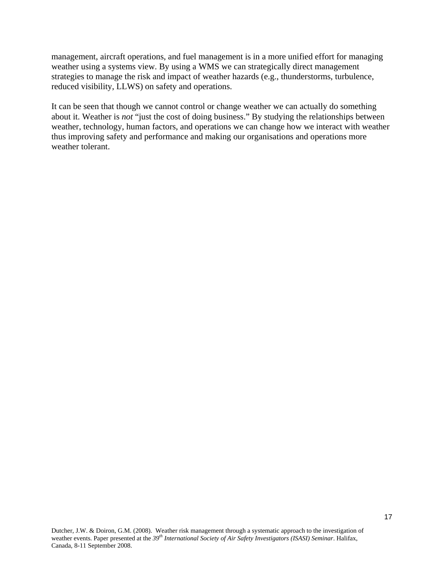management, aircraft operations, and fuel management is in a more unified effort for managing weather using a systems view. By using a WMS we can strategically direct management strategies to manage the risk and impact of weather hazards (e.g., thunderstorms, turbulence, reduced visibility, LLWS) on safety and operations.

It can be seen that though we cannot control or change weather we can actually do something about it. Weather is *not* "just the cost of doing business." By studying the relationships between weather, technology, human factors, and operations we can change how we interact with weather thus improving safety and performance and making our organisations and operations more weather tolerant.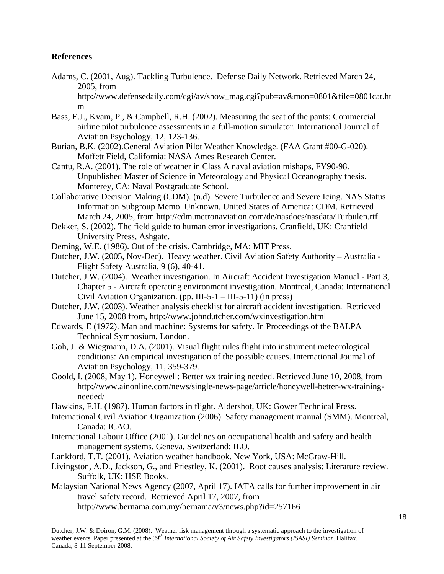### **References**

- Adams, C. (2001, Aug). Tackling Turbulence. Defense Daily Network. Retrieved March 24, 2005, from http://www.defensedaily.com/cgi/av/show\_mag.cgi?pub=av&mon=0801&file=0801cat.ht m
- Bass, E.J., Kvam, P., & Campbell, R.H. (2002). Measuring the seat of the pants: Commercial airline pilot turbulence assessments in a full-motion simulator. International Journal of Aviation Psychology, 12, 123-136.
- Burian, B.K. (2002).General Aviation Pilot Weather Knowledge. (FAA Grant #00-G-020). Moffett Field, California: NASA Ames Research Center.
- Cantu, R.A. (2001). The role of weather in Class A naval aviation mishaps, FY90-98. Unpublished Master of Science in Meteorology and Physical Oceanography thesis. Monterey, CA: Naval Postgraduate School.
- Collaborative Decision Making (CDM). (n.d). Severe Turbulence and Severe Icing. NAS Status Information Subgroup Memo. Unknown, United States of America: CDM. Retrieved March 24, 2005, from http://cdm.metronaviation.com/de/nasdocs/nasdata/Turbulen.rtf
- Dekker, S. (2002). The field guide to human error investigations. Cranfield, UK: Cranfield University Press, Ashgate.
- Deming, W.E. (1986). Out of the crisis. Cambridge, MA: MIT Press.
- Dutcher, J.W. (2005, Nov-Dec). Heavy weather. Civil Aviation Safety Authority Australia Flight Safety Australia, 9 (6), 40-41.
- Dutcher, J.W. (2004). Weather investigation. In Aircraft Accident Investigation Manual Part 3, Chapter 5 - Aircraft operating environment investigation. Montreal, Canada: International Civil Aviation Organization. (pp. III-5-1 – III-5-11) (in press)
- Dutcher, J.W. (2003). Weather analysis checklist for aircraft accident investigation. Retrieved June 15, 2008 from, http://www.johndutcher.com/wxinvestigation.html
- Edwards, E (1972). Man and machine: Systems for safety. In Proceedings of the BALPA Technical Symposium, London.
- Goh, J. & Wiegmann, D.A. (2001). Visual flight rules flight into instrument meteorological conditions: An empirical investigation of the possible causes. International Journal of Aviation Psychology, 11, 359-379.
- Goold, I. (2008, May 1). Honeywell: Better wx training needed. Retrieved June 10, 2008, from http://www.ainonline.com/news/single-news-page/article/honeywell-better-wx-trainingneeded/
- Hawkins, F.H. (1987). Human factors in flight. Aldershot, UK: Gower Technical Press.
- International Civil Aviation Organization (2006). Safety management manual (SMM). Montreal, Canada: ICAO.
- International Labour Office (2001). Guidelines on occupational health and safety and health management systems. Geneva, Switzerland: ILO.
- Lankford, T.T. (2001). Aviation weather handbook. New York, USA: McGraw-Hill.
- Livingston, A.D., Jackson, G., and Priestley, K. (2001). Root causes analysis: Literature review. Suffolk, UK: HSE Books.
- Malaysian National News Agency (2007, April 17). IATA calls for further improvement in air travel safety record. Retrieved April 17, 2007, from http://www.bernama.com.my/bernama/v3/news.php?id=257166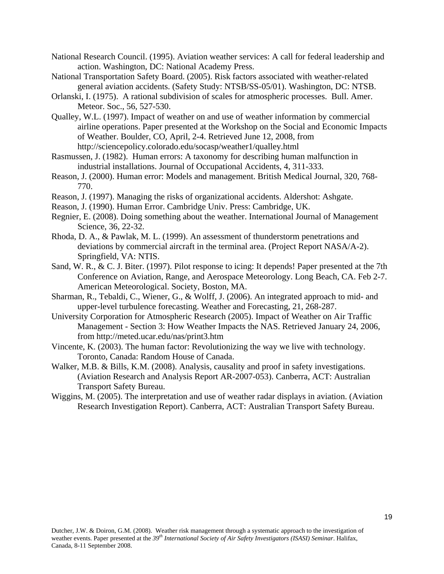- National Research Council. (1995). Aviation weather services: A call for federal leadership and action. Washington, DC: National Academy Press.
- National Transportation Safety Board. (2005). Risk factors associated with weather-related general aviation accidents. (Safety Study: NTSB/SS-05/01). Washington, DC: NTSB.
- Orlanski, I. (1975). A rational subdivision of scales for atmospheric processes. Bull. Amer. Meteor. Soc., 56, 527-530.
- Qualley, W.L. (1997). Impact of weather on and use of weather information by commercial airline operations. Paper presented at the Workshop on the Social and Economic Impacts of Weather. Boulder, CO, April, 2-4. Retrieved June 12, 2008, from http://sciencepolicy.colorado.edu/socasp/weather1/qualley.html
- Rasmussen, J. (1982). Human errors: A taxonomy for describing human malfunction in industrial installations. Journal of Occupational Accidents, 4, 311-333.
- Reason, J. (2000). Human error: Models and management. British Medical Journal, 320, 768- 770.
- Reason, J. (1997). Managing the risks of organizational accidents. Aldershot: Ashgate.
- Reason, J. (1990). Human Error. Cambridge Univ. Press: Cambridge, UK.
- Regnier, E. (2008). Doing something about the weather. International Journal of Management Science, 36, 22-32.
- Rhoda, D. A., & Pawlak, M. L. (1999). An assessment of thunderstorm penetrations and deviations by commercial aircraft in the terminal area. (Project Report NASA/A-2). Springfield, VA: NTIS.
- Sand, W. R., & C. J. Biter. (1997). Pilot response to icing: It depends! Paper presented at the 7th Conference on Aviation, Range, and Aerospace Meteorology. Long Beach, CA. Feb 2-7. American Meteorological. Society, Boston, MA.
- Sharman, R., Tebaldi, C., Wiener, G., & Wolff, J. (2006). An integrated approach to mid- and upper-level turbulence forecasting. Weather and Forecasting, 21, 268-287.
- University Corporation for Atmospheric Research (2005). Impact of Weather on Air Traffic Management - Section 3: How Weather Impacts the NAS. Retrieved January 24, 2006, from http://meted.ucar.edu/nas/print3.htm
- Vincente, K. (2003). The human factor: Revolutionizing the way we live with technology. Toronto, Canada: Random House of Canada.
- Walker, M.B. & Bills, K.M. (2008). Analysis, causality and proof in safety investigations. (Aviation Research and Analysis Report AR-2007-053). Canberra, ACT: Australian Transport Safety Bureau.
- Wiggins, M. (2005). The interpretation and use of weather radar displays in aviation. (Aviation Research Investigation Report). Canberra, ACT: Australian Transport Safety Bureau.